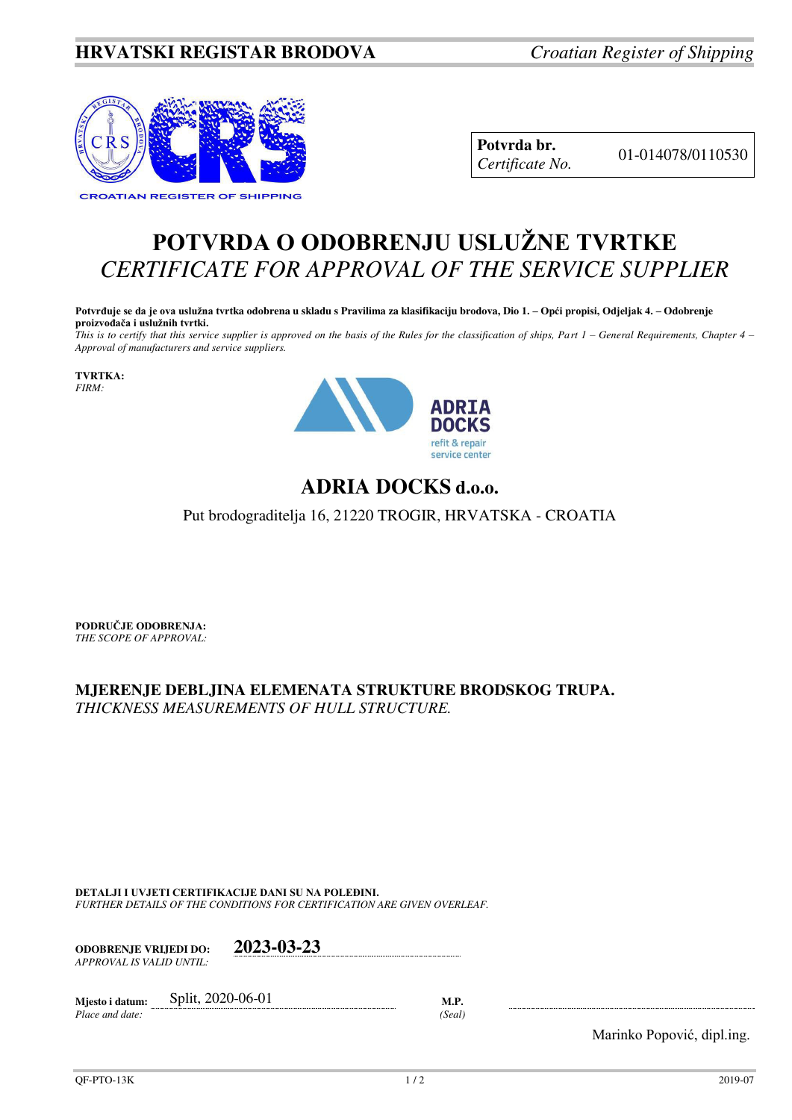## **HRVATSKI REGISTAR BRODOVA** *Croatian Register of Shipping*



**Potvrda br.** 01-014078/0110530 *Certificate No.* 

## **POTVRDA O ODOBRENJU USLUŽNE TVRTKE** *CERTIFICATE FOR APPROVAL OF THE SERVICE SUPPLIER*

**Potvrđuje se da je ova uslužna tvrtka odobrena u skladu s Pravilima za klasifikaciju brodova, Dio 1. – Opći propisi, Odjeljak 4. – Odobrenje proizvođača i uslužnih tvrtki.**

*This is to certify that this service supplier is approved on the basis of the Rules for the classification of ships, Part 1 – General Requirements, Chapter 4 – Approval of manufacturers and service suppliers.* 

**TVRTKA:** *FIRM:*



## **ADRIA DOCKS d.o.o.**

Put brodograditelja 16, 21220 TROGIR, HRVATSKA - CROATIA

**PODRUČJE ODOBRENJA:** *THE SCOPE OF APPROVAL:* 

**MJERENJE DEBLJINA ELEMENATA STRUKTURE BRODSKOG TRUPA.**  *THICKNESS MEASUREMENTS OF HULL STRUCTURE.* 

**DETALJI I UVJETI CERTIFIKACIJE DANI SU NA POLEĐINI.** *FURTHER DETAILS OF THE CONDITIONS FOR CERTIFICATION ARE GIVEN OVERLEAF.* 

| <b>ODOBRENJE VRLIEDI DO:</b> | 2023-03-23 |
|------------------------------|------------|
| APPROVAL IS VALID UNTIL:     |            |

| Miesto i datum: | Split, 2020-06-01 |       |
|-----------------|-------------------|-------|
| Place and date: |                   | Seal) |

Marinko Popović, dipl.ing.